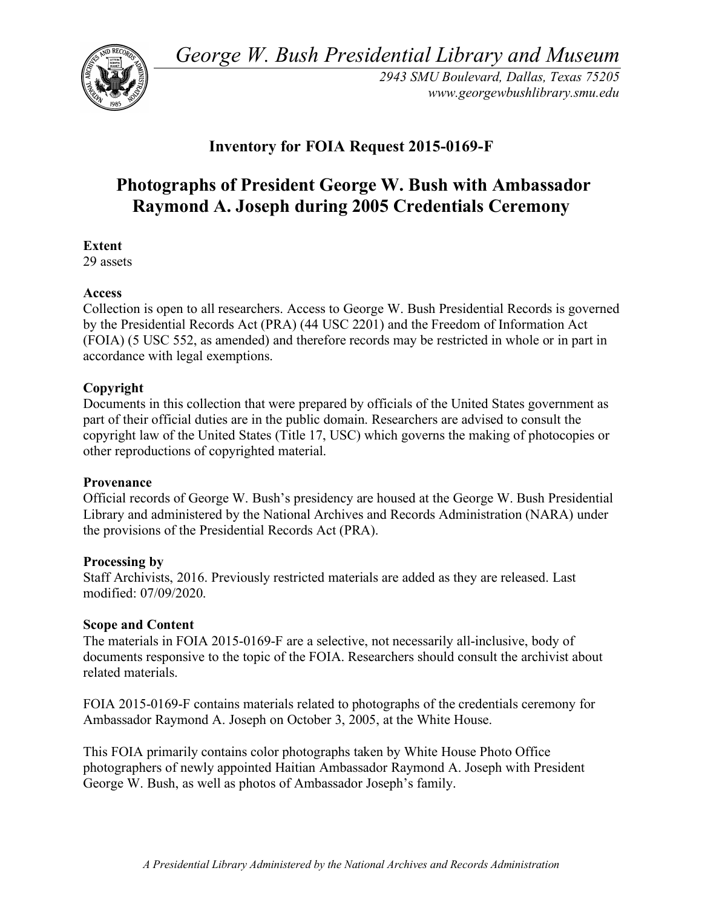*George W. Bush Presidential Library and Museum* 



*2943 SMU Boulevard, Dallas, Texas 75205 <www.georgewbushlibrary.smu.edu>* 

# **Inventory for FOIA Request 2015-0169-F**

# **Photographs of President George W. Bush with Ambassador Raymond A. Joseph during 2005 Credentials Ceremony**

**Extent** 

29 assets

### **Access**

 Collection is open to all researchers. Access to George W. Bush Presidential Records is governed by the Presidential Records Act (PRA) (44 USC 2201) and the Freedom of Information Act (FOIA) (5 USC 552, as amended) and therefore records may be restricted in whole or in part in accordance with legal exemptions.

## **Copyright**

 Documents in this collection that were prepared by officials of the United States government as part of their official duties are in the public domain. Researchers are advised to consult the copyright law of the United States (Title 17, USC) which governs the making of photocopies or other reproductions of copyrighted material.

### **Provenance**

 Official records of George W. Bush's presidency are housed at the George W. Bush Presidential Library and administered by the National Archives and Records Administration (NARA) under the provisions of the Presidential Records Act (PRA).

### **Processing by**

 Staff Archivists, 2016. Previously restricted materials are added as they are released. Last modified: 07/09/2020.

### **Scope and Content**

 The materials in FOIA 2015-0169-F are a selective, not necessarily all-inclusive, body of documents responsive to the topic of the FOIA. Researchers should consult the archivist about related materials.

 FOIA 2015-0169-F contains materials related to photographs of the credentials ceremony for Ambassador Raymond A. Joseph on October 3, 2005, at the White House.

 This FOIA primarily contains color photographs taken by White House Photo Office photographers of newly appointed Haitian Ambassador Raymond A. Joseph with President George W. Bush, as well as photos of Ambassador Joseph's family.